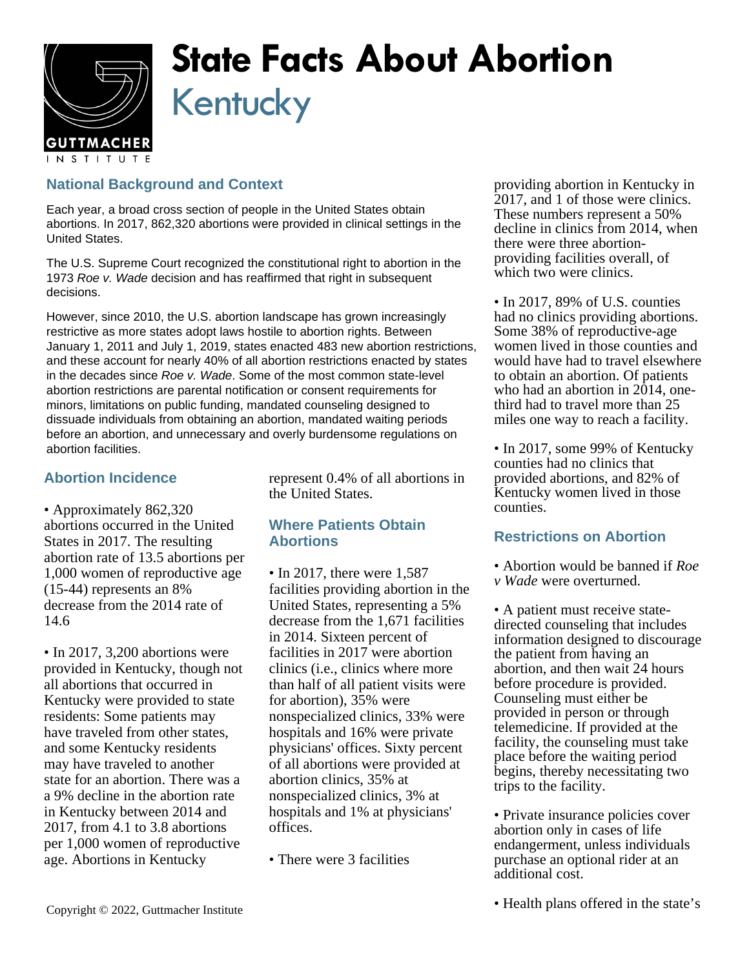

# **State Facts About Abortion** Kentucky

## **National Background and Context**

Each year, a broad cross section of people in the United States obtain abortions. In 2017, 862,320 abortions were provided in clinical settings in the United States.

The U.S. Supreme Court recognized the constitutional right to abortion in the 1973 Roe v. Wade decision and has reaffirmed that right in subsequent decisions.

However, since 2010, the U.S. abortion landscape has grown increasingly restrictive as more states adopt laws hostile to abortion rights. Between January 1, 2011 and July 1, 2019, states enacted 483 new abortion restrictions, and these account for nearly 40% of all abortion restrictions enacted by states in the decades since Roe v. Wade. Some of the most common state-level abortion restrictions are parental notification or consent requirements for minors, limitations on public funding, mandated counseling designed to dissuade individuals from obtaining an abortion, mandated waiting periods before an abortion, and unnecessary and overly burdensome regulations on abortion facilities.

### **Abortion Incidence**

• Approximately 862,320 abortions occurred in the United States in 2017. The resulting abortion rate of 13.5 abortions per 1,000 women of reproductive age (15-44) represents an 8% decrease from the 2014 rate of 14.6

• In 2017, 3,200 abortions were provided in Kentucky, though not all abortions that occurred in Kentucky were provided to state residents: Some patients may have traveled from other states, and some Kentucky residents may have traveled to another state for an abortion. There was a a 9% decline in the abortion rate in Kentucky between 2014 and 2017, from 4.1 to 3.8 abortions per 1,000 women of reproductive age. Abortions in Kentucky

represent 0.4% of all abortions in the United States.

#### **Where Patients Obtain Abortions**

- In 2017, there were 1,587 facilities providing abortion in the United States, representing a 5% decrease from the 1,671 facilities in 2014. Sixteen percent of facilities in 2017 were abortion clinics (i.e., clinics where more than half of all patient visits were for abortion), 35% were nonspecialized clinics, 33% were hospitals and 16% were private physicians' offices. Sixty percent of all abortions were provided at abortion clinics, 35% at nonspecialized clinics, 3% at hospitals and 1% at physicians' offices.
- There were 3 facilities

providing abortion in Kentucky in 2017, and 1 of those were clinics. These numbers represent a 50% decline in clinics from 2014, when there were three abortionproviding facilities overall, of which two were clinics.

• In 2017, 89% of U.S. counties had no clinics providing abortions. Some 38% of reproductive-age women lived in those counties and would have had to travel elsewhere to obtain an abortion. Of patients who had an abortion in 2014, onethird had to travel more than 25 miles one way to reach a facility.

• In 2017, some 99% of Kentucky counties had no clinics that provided abortions, and 82% of Kentucky women lived in those counties.

#### **Restrictions on Abortion**

- Abortion would be banned if *Roe*
- *v Wade* were overturned.

• A patient must receive statedirected counseling that includes information designed to discourage the patient from having an abortion, and then wait 24 hours before procedure is provided. Counseling must either be provided in person or through telemedicine. If provided at the facility, the counseling must take place before the waiting period begins, thereby necessitating two trips to the facility.

• Private insurance policies cover abortion only in cases of life endangerment, unless individuals purchase an optional rider at an additional cost.

• Health plans offered in the state's